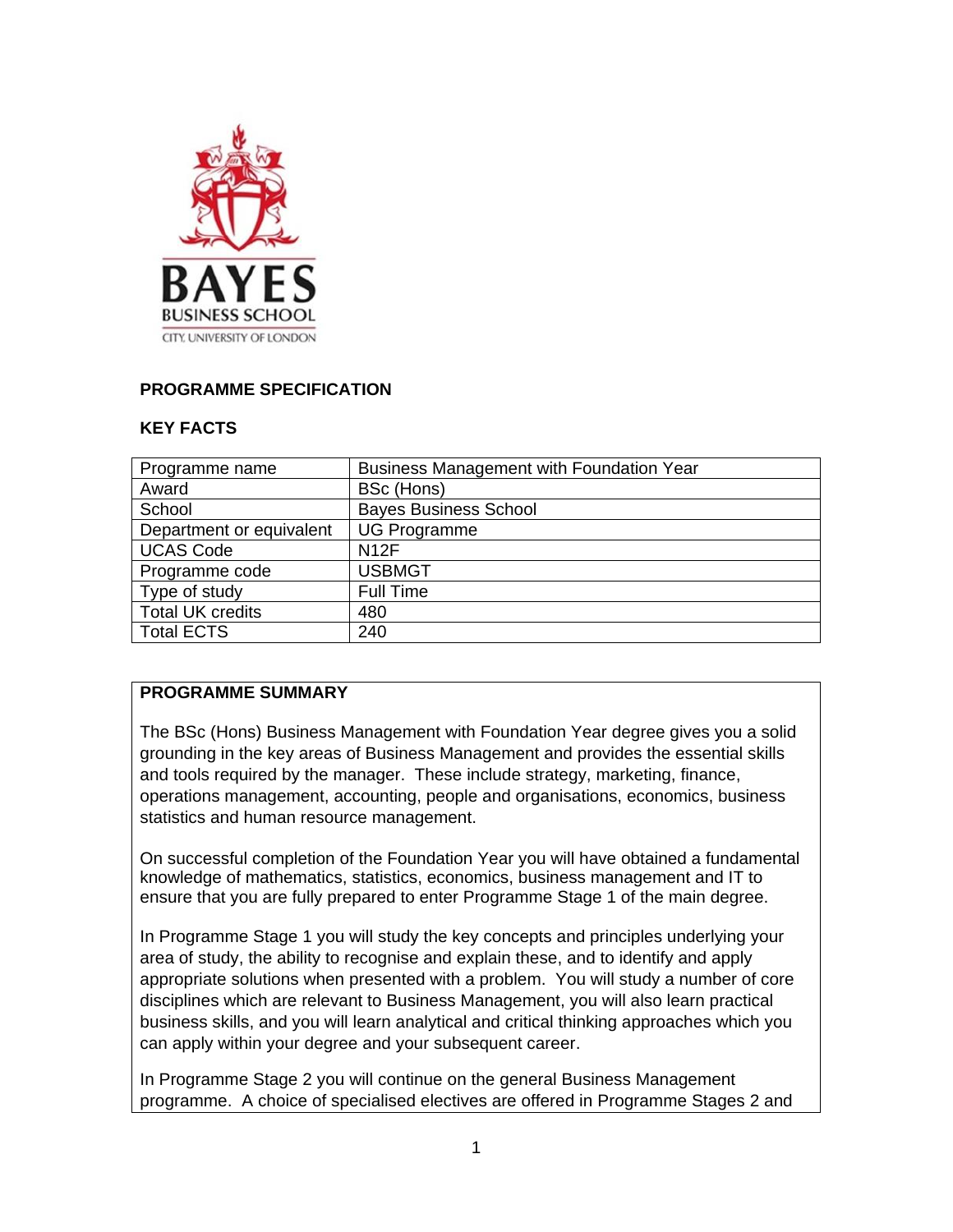

## **PROGRAMME SPECIFICATION**

#### **KEY FACTS**

| Programme name           | <b>Business Management with Foundation Year</b> |
|--------------------------|-------------------------------------------------|
| Award                    | BSc (Hons)                                      |
| School                   | <b>Bayes Business School</b>                    |
| Department or equivalent | <b>UG Programme</b>                             |
| <b>UCAS Code</b>         | <b>N12F</b>                                     |
| Programme code           | <b>USBMGT</b>                                   |
| Type of study            | <b>Full Time</b>                                |
| <b>Total UK credits</b>  | 480                                             |
| Total ECTS               | 240                                             |

#### **PROGRAMME SUMMARY**

The BSc (Hons) Business Management with Foundation Year degree gives you a solid grounding in the key areas of Business Management and provides the essential skills and tools required by the manager. These include strategy, marketing, finance, operations management, accounting, people and organisations, economics, business statistics and human resource management.

On successful completion of the Foundation Year you will have obtained a fundamental knowledge of mathematics, statistics, economics, business management and IT to ensure that you are fully prepared to enter Programme Stage 1 of the main degree.

In Programme Stage 1 you will study the key concepts and principles underlying your area of study, the ability to recognise and explain these, and to identify and apply appropriate solutions when presented with a problem. You will study a number of core disciplines which are relevant to Business Management, you will also learn practical business skills, and you will learn analytical and critical thinking approaches which you can apply within your degree and your subsequent career.

In Programme Stage 2 you will continue on the general Business Management programme. A choice of specialised electives are offered in Programme Stages 2 and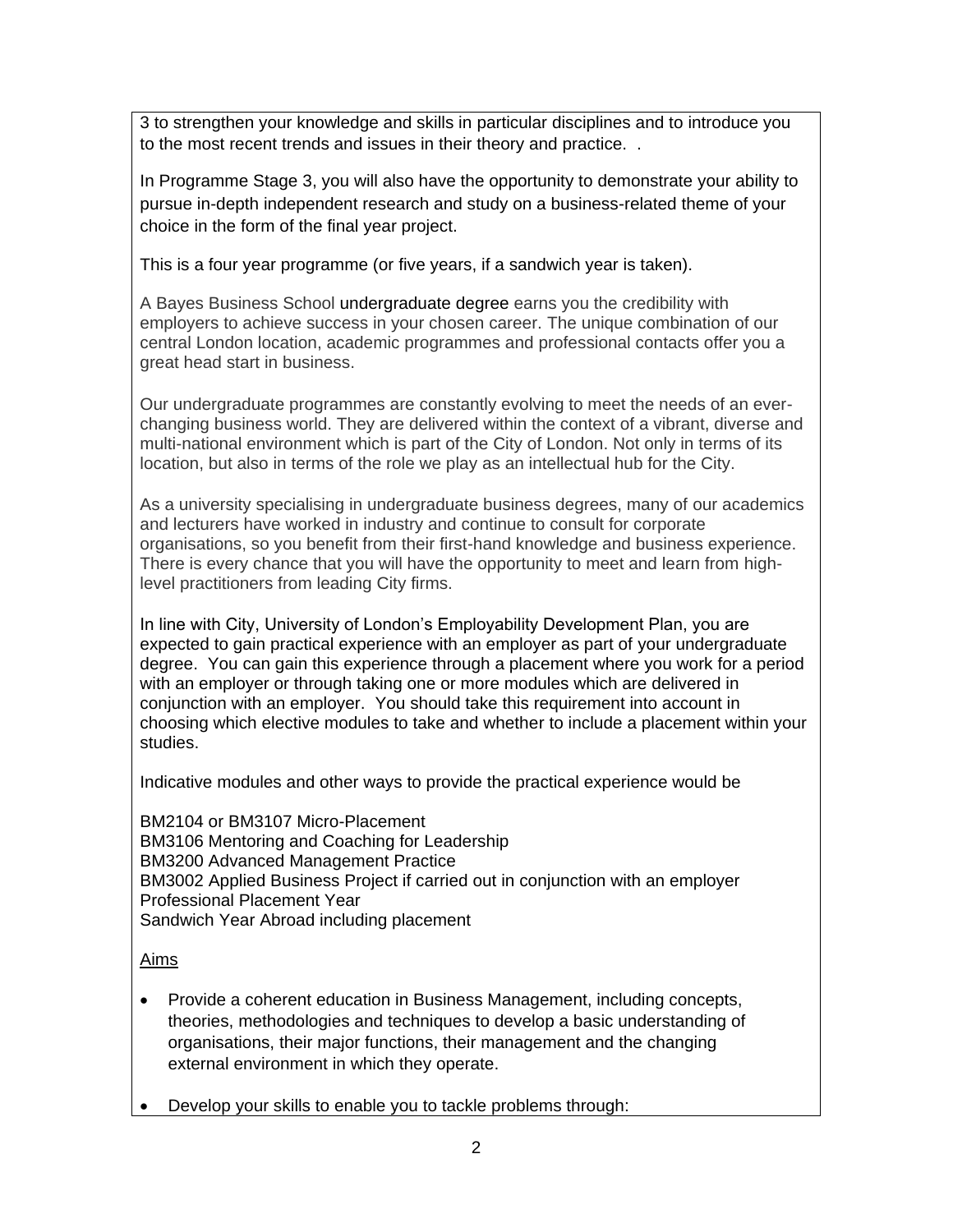3 to strengthen your knowledge and skills in particular disciplines and to introduce you to the most recent trends and issues in their theory and practice. .

In Programme Stage 3, you will also have the opportunity to demonstrate your ability to pursue in-depth independent research and study on a business-related theme of your choice in the form of the final year project.

This is a four year programme (or five years, if a sandwich year is taken).

A Bayes Business School undergraduate degree earns you the credibility with employers to achieve success in your chosen career. The unique combination of our central London location, academic programmes and professional contacts offer you a great head start in business.

Our undergraduate programmes are constantly evolving to meet the needs of an everchanging business world. They are delivered within the context of a vibrant, diverse and multi-national environment which is part of the City of London. Not only in terms of its location, but also in terms of the role we play as an intellectual hub for the City.

As a university specialising in undergraduate business degrees, many of our academics and lecturers have worked in industry and continue to consult for corporate organisations, so you benefit from their first-hand knowledge and business experience. There is every chance that you will have the opportunity to meet and learn from highlevel practitioners from leading City firms.

In line with City, University of London's Employability Development Plan, you are expected to gain practical experience with an employer as part of your undergraduate degree. You can gain this experience through a placement where you work for a period with an employer or through taking one or more modules which are delivered in conjunction with an employer. You should take this requirement into account in choosing which elective modules to take and whether to include a placement within your studies.

Indicative modules and other ways to provide the practical experience would be

BM2104 or BM3107 Micro-Placement BM3106 Mentoring and Coaching for Leadership BM3200 Advanced Management Practice BM3002 Applied Business Project if carried out in conjunction with an employer Professional Placement Year Sandwich Year Abroad including placement

## Aims

- Provide a coherent education in Business Management, including concepts, theories, methodologies and techniques to develop a basic understanding of organisations, their major functions, their management and the changing external environment in which they operate.
- Develop your skills to enable you to tackle problems through: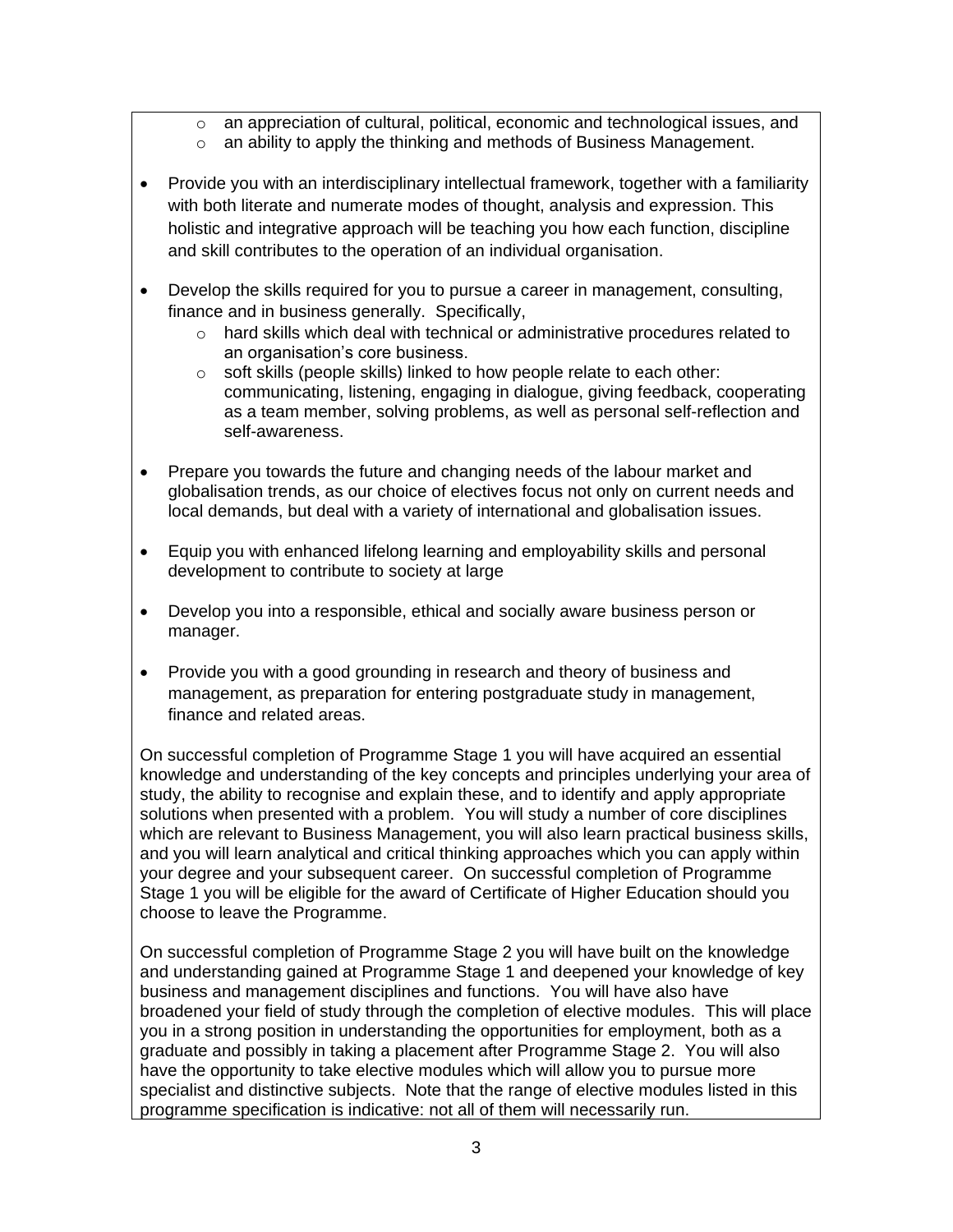- o an appreciation of cultural, political, economic and technological issues, and
- o an ability to apply the thinking and methods of Business Management.
- Provide you with an interdisciplinary intellectual framework, together with a familiarity with both literate and numerate modes of thought, analysis and expression. This holistic and integrative approach will be teaching you how each function, discipline and skill contributes to the operation of an individual organisation.
- Develop the skills required for you to pursue a career in management, consulting, finance and in business generally. Specifically,
	- $\circ$  hard skills which deal with technical or administrative procedures related to an organisation's core business.
	- o soft skills (people skills) linked to how people relate to each other: communicating, listening, engaging in dialogue, giving feedback, cooperating as a team member, solving problems, as well as personal self-reflection and self-awareness.
- Prepare you towards the future and changing needs of the labour market and globalisation trends, as our choice of electives focus not only on current needs and local demands, but deal with a variety of international and globalisation issues.
- Equip you with enhanced lifelong learning and employability skills and personal development to contribute to society at large
- Develop you into a responsible, ethical and socially aware business person or manager.
- Provide you with a good grounding in research and theory of business and management, as preparation for entering postgraduate study in management, finance and related areas.

On successful completion of Programme Stage 1 you will have acquired an essential knowledge and understanding of the key concepts and principles underlying your area of study, the ability to recognise and explain these, and to identify and apply appropriate solutions when presented with a problem. You will study a number of core disciplines which are relevant to Business Management, you will also learn practical business skills, and you will learn analytical and critical thinking approaches which you can apply within your degree and your subsequent career. On successful completion of Programme Stage 1 you will be eligible for the award of Certificate of Higher Education should you choose to leave the Programme.

On successful completion of Programme Stage 2 you will have built on the knowledge and understanding gained at Programme Stage 1 and deepened your knowledge of key business and management disciplines and functions. You will have also have broadened your field of study through the completion of elective modules. This will place you in a strong position in understanding the opportunities for employment, both as a graduate and possibly in taking a placement after Programme Stage 2. You will also have the opportunity to take elective modules which will allow you to pursue more specialist and distinctive subjects. Note that the range of elective modules listed in this programme specification is indicative: not all of them will necessarily run.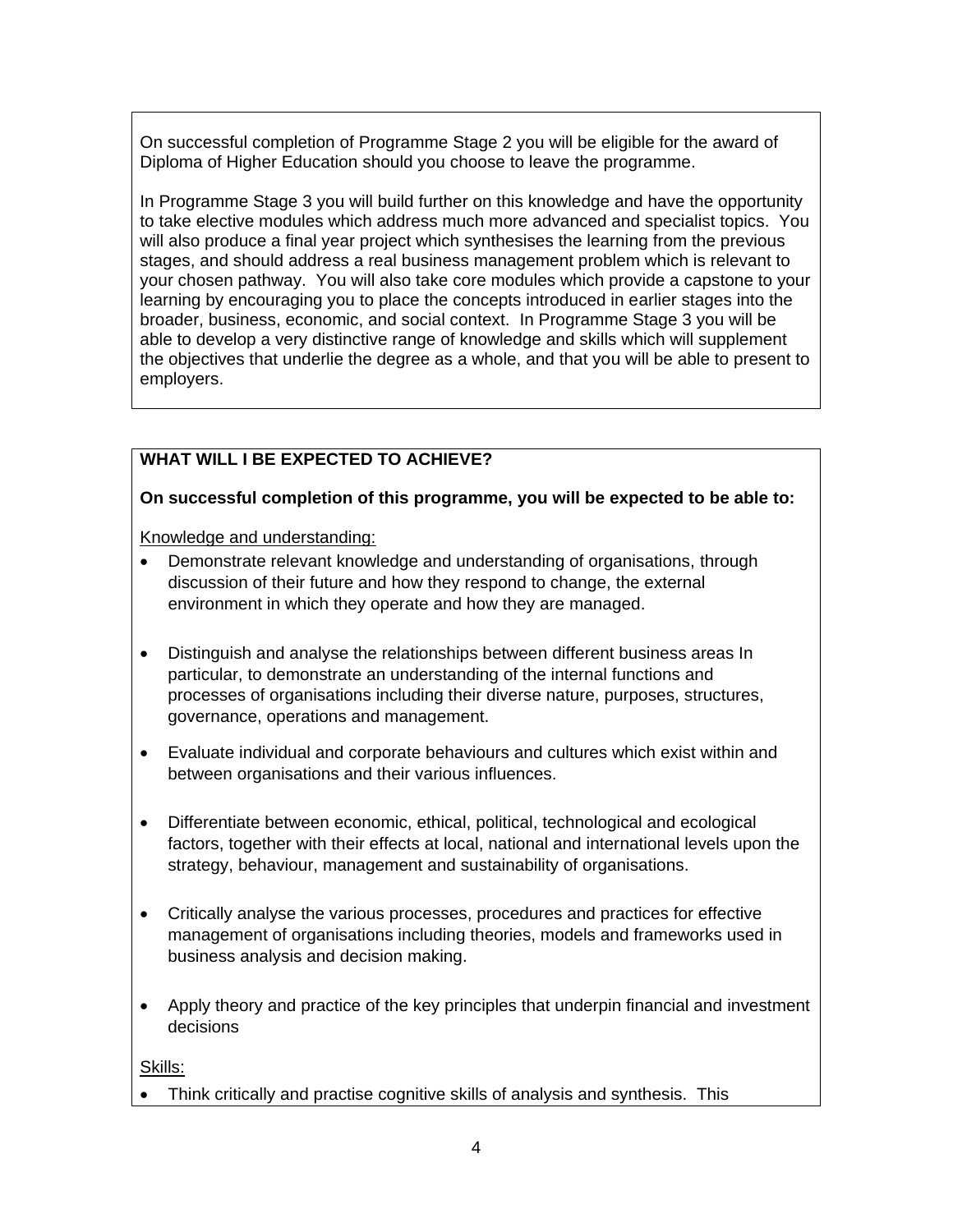On successful completion of Programme Stage 2 you will be eligible for the award of Diploma of Higher Education should you choose to leave the programme.

In Programme Stage 3 you will build further on this knowledge and have the opportunity to take elective modules which address much more advanced and specialist topics. You will also produce a final year project which synthesises the learning from the previous stages, and should address a real business management problem which is relevant to your chosen pathway. You will also take core modules which provide a capstone to your learning by encouraging you to place the concepts introduced in earlier stages into the broader, business, economic, and social context. In Programme Stage 3 you will be able to develop a very distinctive range of knowledge and skills which will supplement the objectives that underlie the degree as a whole, and that you will be able to present to employers.

#### **WHAT WILL I BE EXPECTED TO ACHIEVE?**

#### **On successful completion of this programme, you will be expected to be able to:**

Knowledge and understanding:

- Demonstrate relevant knowledge and understanding of organisations, through discussion of their future and how they respond to change, the external environment in which they operate and how they are managed.
- Distinguish and analyse the relationships between different business areas In particular, to demonstrate an understanding of the internal functions and processes of organisations including their diverse nature, purposes, structures, governance, operations and management.
- Evaluate individual and corporate behaviours and cultures which exist within and between organisations and their various influences.
- Differentiate between economic, ethical, political, technological and ecological factors, together with their effects at local, national and international levels upon the strategy, behaviour, management and sustainability of organisations.
- Critically analyse the various processes, procedures and practices for effective management of organisations including theories, models and frameworks used in business analysis and decision making.
- Apply theory and practice of the key principles that underpin financial and investment decisions

Skills:

• Think critically and practise cognitive skills of analysis and synthesis. This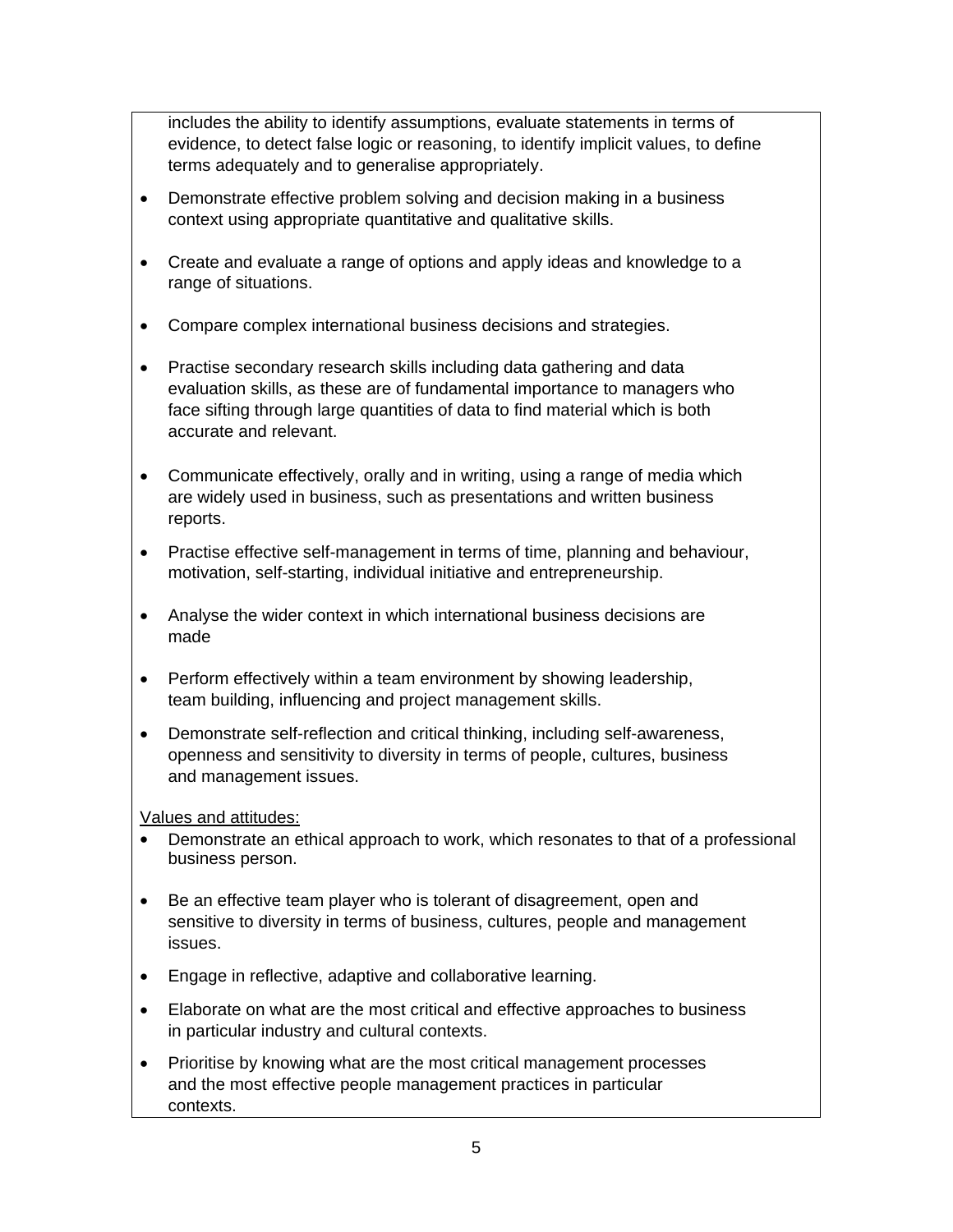includes the ability to identify assumptions, evaluate statements in terms of evidence, to detect false logic or reasoning, to identify implicit values, to define terms adequately and to generalise appropriately.

- Demonstrate effective problem solving and decision making in a business context using appropriate quantitative and qualitative skills.
- Create and evaluate a range of options and apply ideas and knowledge to a range of situations.
- Compare complex international business decisions and strategies.
- Practise secondary research skills including data gathering and data evaluation skills, as these are of fundamental importance to managers who face sifting through large quantities of data to find material which is both accurate and relevant.
- Communicate effectively, orally and in writing, using a range of media which are widely used in business, such as presentations and written business reports.
- Practise effective self-management in terms of time, planning and behaviour, motivation, self-starting, individual initiative and entrepreneurship.
- Analyse the wider context in which international business decisions are made
- Perform effectively within a team environment by showing leadership, team building, influencing and project management skills.
- Demonstrate self-reflection and critical thinking, including self-awareness, openness and sensitivity to diversity in terms of people, cultures, business and management issues.

## Values and attitudes:

- Demonstrate an ethical approach to work, which resonates to that of a professional business person.
- Be an effective team player who is tolerant of disagreement, open and sensitive to diversity in terms of business, cultures, people and management issues.
- Engage in reflective, adaptive and collaborative learning.
- Elaborate on what are the most critical and effective approaches to business in particular industry and cultural contexts.
- Prioritise by knowing what are the most critical management processes and the most effective people management practices in particular contexts.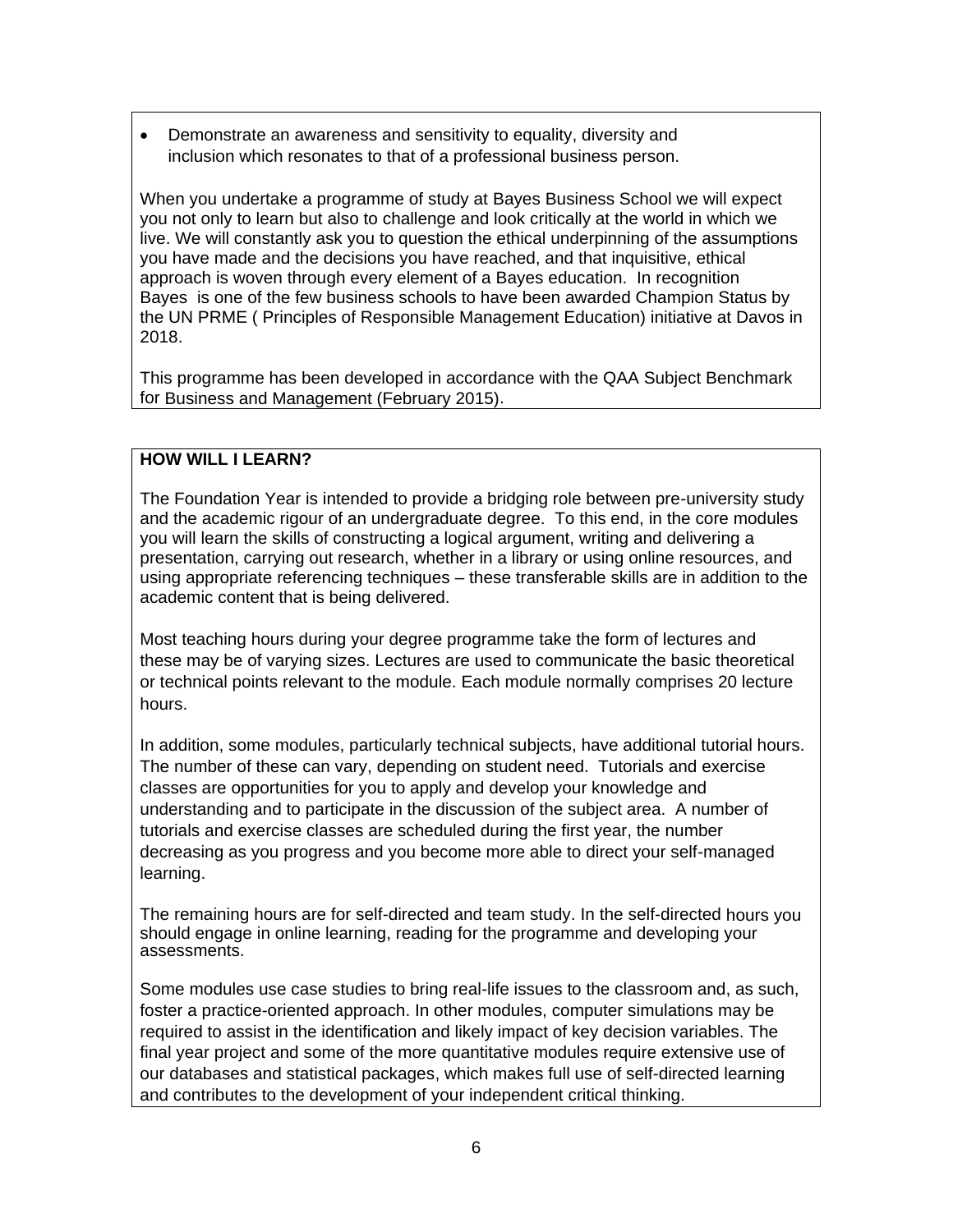• Demonstrate an awareness and sensitivity to equality, diversity and inclusion which resonates to that of a professional business person.

When you undertake a programme of study at Bayes Business School we will expect you not only to learn but also to challenge and look critically at the world in which we live. We will constantly ask you to question the ethical underpinning of the assumptions you have made and the decisions you have reached, and that inquisitive, ethical approach is woven through every element of a Bayes education. In recognition Bayes is one of the few business schools to have been awarded Champion Status by the UN PRME ( Principles of Responsible Management Education) initiative at Davos in 2018.

This programme has been developed in accordance with the QAA Subject Benchmark for Business and Management (February 2015).

#### **HOW WILL I LEARN?**

The Foundation Year is intended to provide a bridging role between pre-university study and the academic rigour of an undergraduate degree. To this end, in the core modules you will learn the skills of constructing a logical argument, writing and delivering a presentation, carrying out research, whether in a library or using online resources, and using appropriate referencing techniques – these transferable skills are in addition to the academic content that is being delivered.

Most teaching hours during your degree programme take the form of lectures and these may be of varying sizes. Lectures are used to communicate the basic theoretical or technical points relevant to the module. Each module normally comprises 20 lecture hours.

In addition, some modules, particularly technical subjects, have additional tutorial hours. The number of these can vary, depending on student need. Tutorials and exercise classes are opportunities for you to apply and develop your knowledge and understanding and to participate in the discussion of the subject area. A number of tutorials and exercise classes are scheduled during the first year, the number decreasing as you progress and you become more able to direct your self-managed learning.

The remaining hours are for self-directed and team study. In the self-directed hours you should engage in online learning, reading for the programme and developing your assessments.

Some modules use case studies to bring real-life issues to the classroom and, as such, foster a practice-oriented approach. In other modules, computer simulations may be required to assist in the identification and likely impact of key decision variables. The final year project and some of the more quantitative modules require extensive use of our databases and statistical packages, which makes full use of self-directed learning and contributes to the development of your independent critical thinking.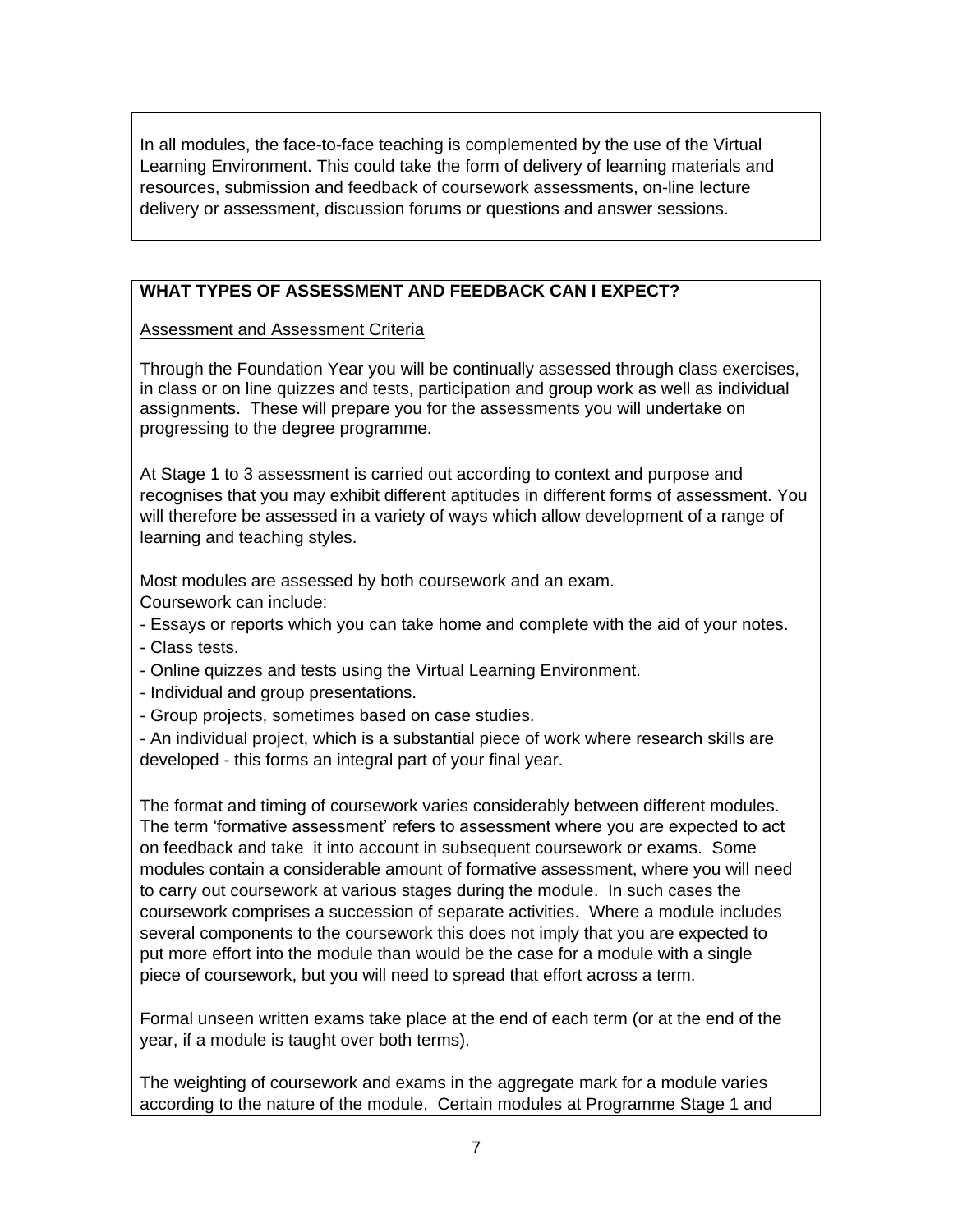In all modules, the face-to-face teaching is complemented by the use of the Virtual Learning Environment. This could take the form of delivery of learning materials and resources, submission and feedback of coursework assessments, on-line lecture delivery or assessment, discussion forums or questions and answer sessions.

# **WHAT TYPES OF ASSESSMENT AND FEEDBACK CAN I EXPECT?**

Assessment and Assessment Criteria

Through the Foundation Year you will be continually assessed through class exercises, in class or on line quizzes and tests, participation and group work as well as individual assignments. These will prepare you for the assessments you will undertake on progressing to the degree programme.

At Stage 1 to 3 assessment is carried out according to context and purpose and recognises that you may exhibit different aptitudes in different forms of assessment. You will therefore be assessed in a variety of ways which allow development of a range of learning and teaching styles.

Most modules are assessed by both coursework and an exam. Coursework can include:

- Essays or reports which you can take home and complete with the aid of your notes.
- Class tests.
- Online quizzes and tests using the Virtual Learning Environment.
- Individual and group presentations.
- Group projects, sometimes based on case studies.
- An individual project, which is a substantial piece of work where research skills are developed - this forms an integral part of your final year.

The format and timing of coursework varies considerably between different modules. The term 'formative assessment' refers to assessment where you are expected to act on feedback and take it into account in subsequent coursework or exams. Some modules contain a considerable amount of formative assessment, where you will need to carry out coursework at various stages during the module. In such cases the coursework comprises a succession of separate activities. Where a module includes several components to the coursework this does not imply that you are expected to put more effort into the module than would be the case for a module with a single piece of coursework, but you will need to spread that effort across a term.

Formal unseen written exams take place at the end of each term (or at the end of the year, if a module is taught over both terms).

The weighting of coursework and exams in the aggregate mark for a module varies according to the nature of the module. Certain modules at Programme Stage 1 and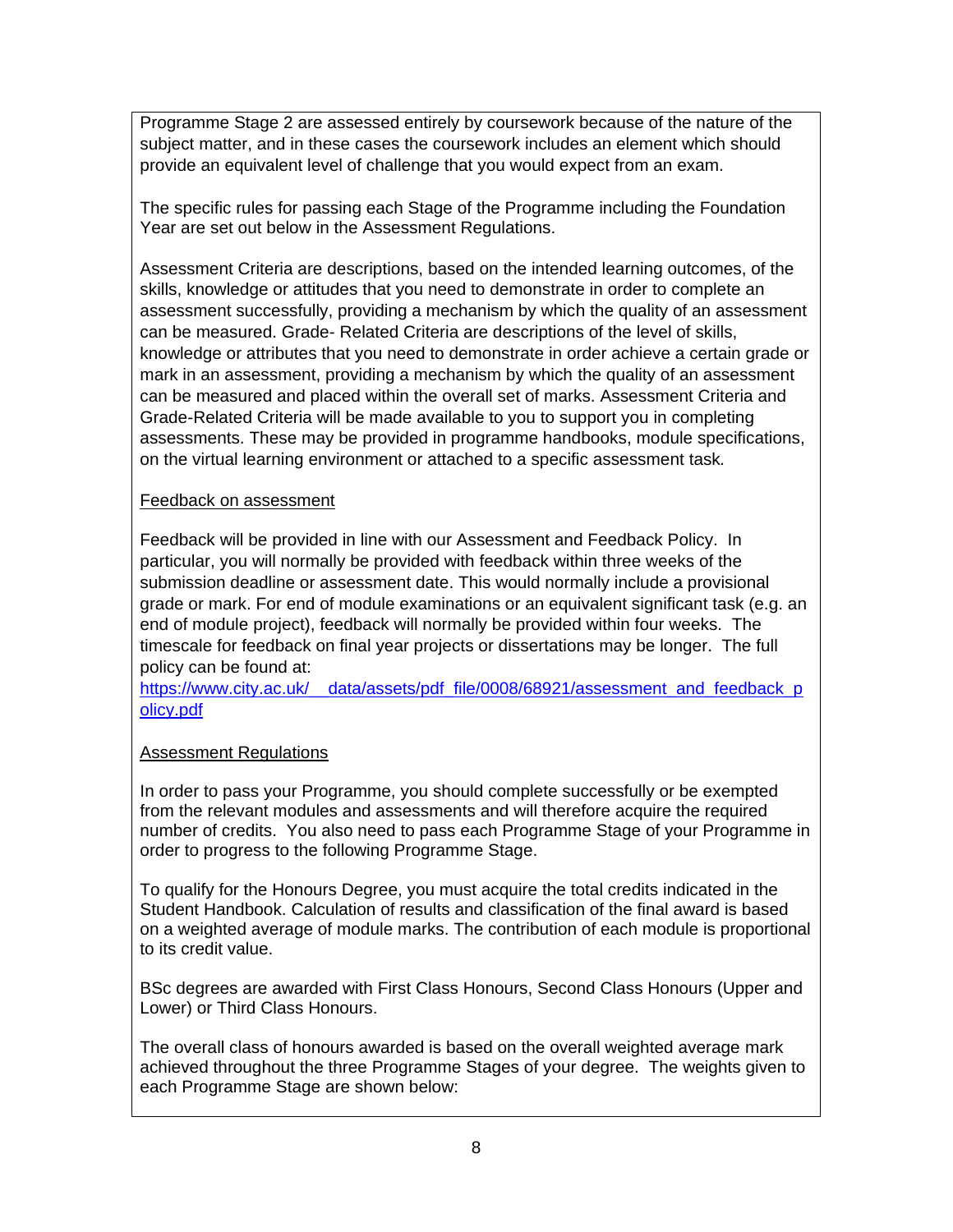Programme Stage 2 are assessed entirely by coursework because of the nature of the subject matter, and in these cases the coursework includes an element which should provide an equivalent level of challenge that you would expect from an exam.

The specific rules for passing each Stage of the Programme including the Foundation Year are set out below in the Assessment Regulations.

Assessment Criteria are descriptions, based on the intended learning outcomes, of the skills, knowledge or attitudes that you need to demonstrate in order to complete an assessment successfully, providing a mechanism by which the quality of an assessment can be measured. Grade- Related Criteria are descriptions of the level of skills, knowledge or attributes that you need to demonstrate in order achieve a certain grade or mark in an assessment, providing a mechanism by which the quality of an assessment can be measured and placed within the overall set of marks. Assessment Criteria and Grade-Related Criteria will be made available to you to support you in completing assessments. These may be provided in programme handbooks, module specifications, on the virtual learning environment or attached to a specific assessment task*.*

#### Feedback on assessment

Feedback will be provided in line with our Assessment and Feedback Policy. In particular, you will normally be provided with feedback within three weeks of the submission deadline or assessment date. This would normally include a provisional grade or mark. For end of module examinations or an equivalent significant task (e.g. an end of module project), feedback will normally be provided within four weeks. The timescale for feedback on final year projects or dissertations may be longer. The full policy can be found at:

[https://www.city.ac.uk/\\_\\_data/assets/pdf\\_file/0008/68921/assessment\\_and\\_feedback\\_p](https://www.city.ac.uk/__data/assets/pdf_file/0008/68921/assessment_and_feedback_policy.pdf) [olicy.pdf](https://www.city.ac.uk/__data/assets/pdf_file/0008/68921/assessment_and_feedback_policy.pdf)

## Assessment Regulations

In order to pass your Programme, you should complete successfully or be exempted from the relevant modules and assessments and will therefore acquire the required number of credits. You also need to pass each Programme Stage of your Programme in order to progress to the following Programme Stage.

To qualify for the Honours Degree, you must acquire the total credits indicated in the Student Handbook. Calculation of results and classification of the final award is based on a weighted average of module marks. The contribution of each module is proportional to its credit value.

BSc degrees are awarded with First Class Honours, Second Class Honours (Upper and Lower) or Third Class Honours.

The overall class of honours awarded is based on the overall weighted average mark achieved throughout the three Programme Stages of your degree. The weights given to each Programme Stage are shown below: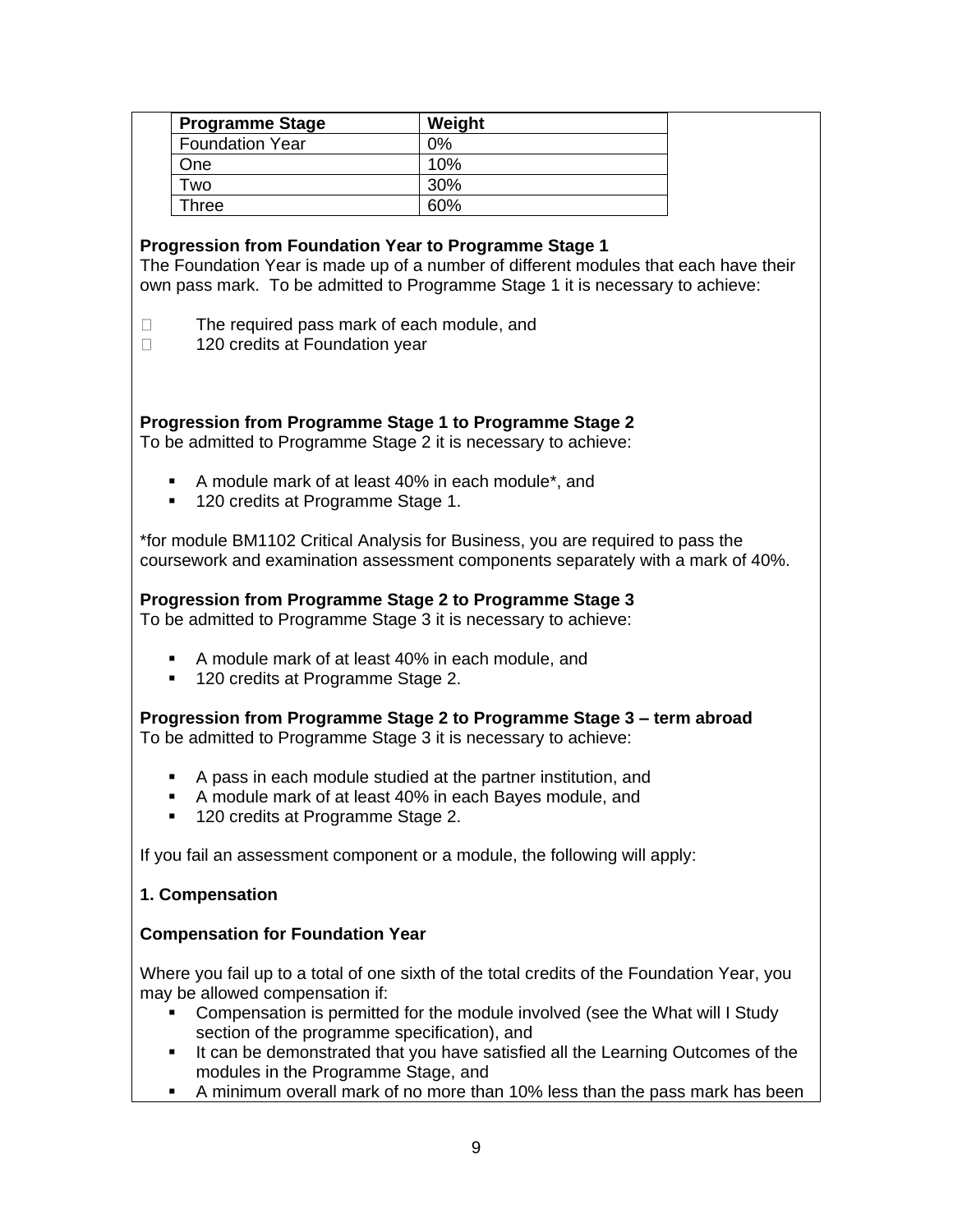| <b>Programme Stage</b> | Weight |  |
|------------------------|--------|--|
| <b>Foundation Year</b> | $2\%$  |  |
| One                    | 10%    |  |
| Two                    | 30%    |  |
| Three                  | 60%    |  |

#### **Progression from Foundation Year to Programme Stage 1**

The Foundation Year is made up of a number of different modules that each have their own pass mark. To be admitted to Programme Stage 1 it is necessary to achieve:

The required pass mark of each module, and  $\Box$ 

 $\Box$ 120 credits at Foundation year

#### **Progression from Programme Stage 1 to Programme Stage 2**

To be admitted to Programme Stage 2 it is necessary to achieve:

- A module mark of at least 40% in each module\*, and
- 120 credits at Programme Stage 1.

\*for module BM1102 Critical Analysis for Business, you are required to pass the coursework and examination assessment components separately with a mark of 40%.

# **Progression from Programme Stage 2 to Programme Stage 3**

To be admitted to Programme Stage 3 it is necessary to achieve:

- A module mark of at least 40% in each module, and
- 120 credits at Programme Stage 2.

**Progression from Programme Stage 2 to Programme Stage 3 – term abroad** To be admitted to Programme Stage 3 it is necessary to achieve:

- A pass in each module studied at the partner institution, and
- A module mark of at least 40% in each Bayes module, and
- 120 credits at Programme Stage 2.

If you fail an assessment component or a module, the following will apply:

#### **1. Compensation**

#### **Compensation for Foundation Year**

Where you fail up to a total of one sixth of the total credits of the Foundation Year, you may be allowed compensation if:

- Compensation is permitted for the module involved (see the What will I Study section of the programme specification), and
- **■** It can be demonstrated that you have satisfied all the Learning Outcomes of the modules in the Programme Stage, and
- **EXT** A minimum overall mark of no more than 10% less than the pass mark has been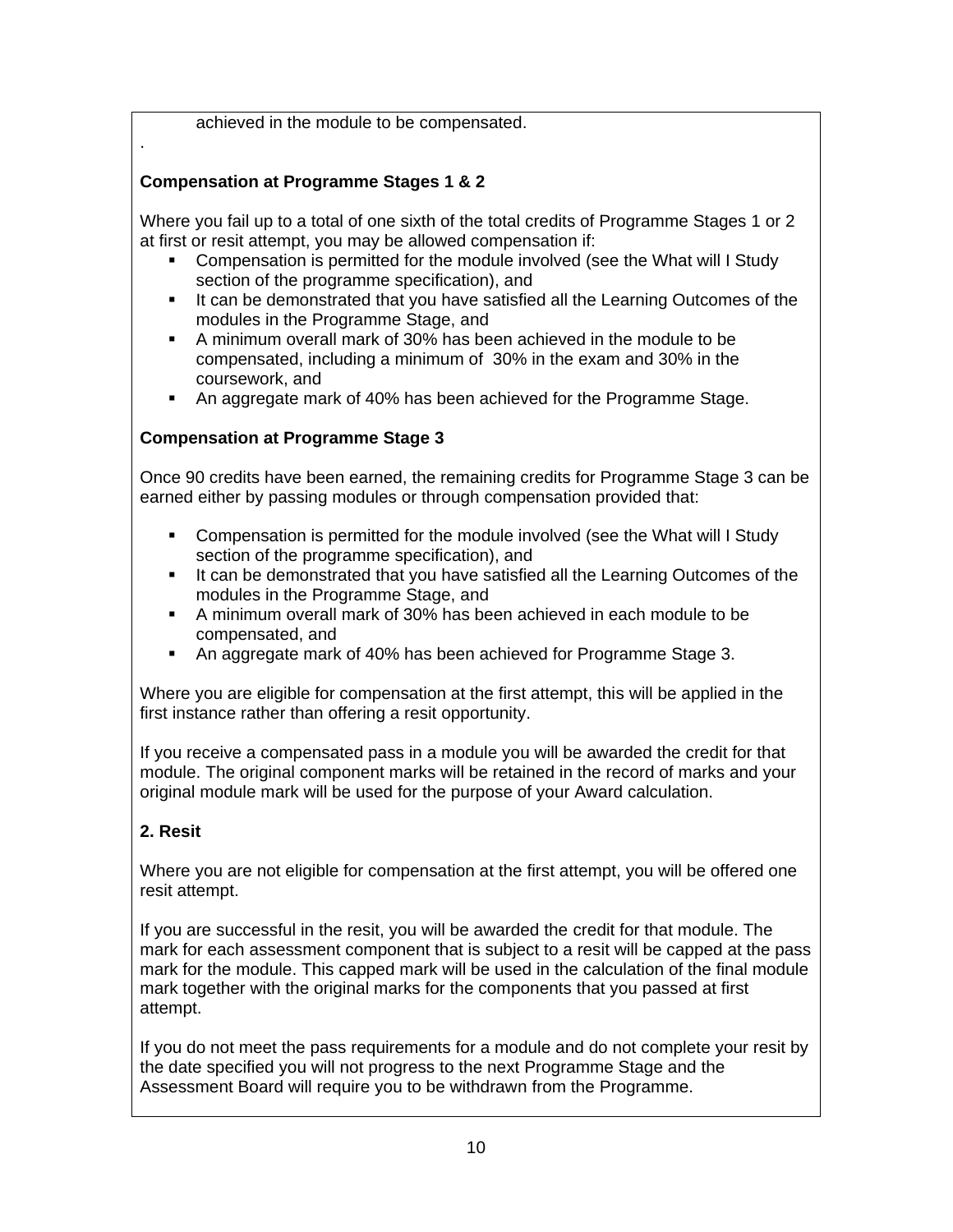achieved in the module to be compensated.

## **Compensation at Programme Stages 1 & 2**

Where you fail up to a total of one sixth of the total credits of Programme Stages 1 or 2 at first or resit attempt, you may be allowed compensation if:

- Compensation is permitted for the module involved (see the What will I Study section of the programme specification), and
- **EXEDEE** It can be demonstrated that you have satisfied all the Learning Outcomes of the modules in the Programme Stage, and
- A minimum overall mark of 30% has been achieved in the module to be compensated, including a minimum of 30% in the exam and 30% in the coursework, and
- An aggregate mark of 40% has been achieved for the Programme Stage.

#### **Compensation at Programme Stage 3**

Once 90 credits have been earned, the remaining credits for Programme Stage 3 can be earned either by passing modules or through compensation provided that:

- Compensation is permitted for the module involved (see the What will I Study section of the programme specification), and
- It can be demonstrated that you have satisfied all the Learning Outcomes of the modules in the Programme Stage, and
- A minimum overall mark of 30% has been achieved in each module to be compensated, and
- An aggregate mark of 40% has been achieved for Programme Stage 3.

Where you are eligible for compensation at the first attempt, this will be applied in the first instance rather than offering a resit opportunity.

If you receive a compensated pass in a module you will be awarded the credit for that module. The original component marks will be retained in the record of marks and your original module mark will be used for the purpose of your Award calculation.

#### **2. Resit**

.

Where you are not eligible for compensation at the first attempt, you will be offered one resit attempt.

If you are successful in the resit, you will be awarded the credit for that module. The mark for each assessment component that is subject to a resit will be capped at the pass mark for the module. This capped mark will be used in the calculation of the final module mark together with the original marks for the components that you passed at first attempt.

If you do not meet the pass requirements for a module and do not complete your resit by the date specified you will not progress to the next Programme Stage and the Assessment Board will require you to be withdrawn from the Programme.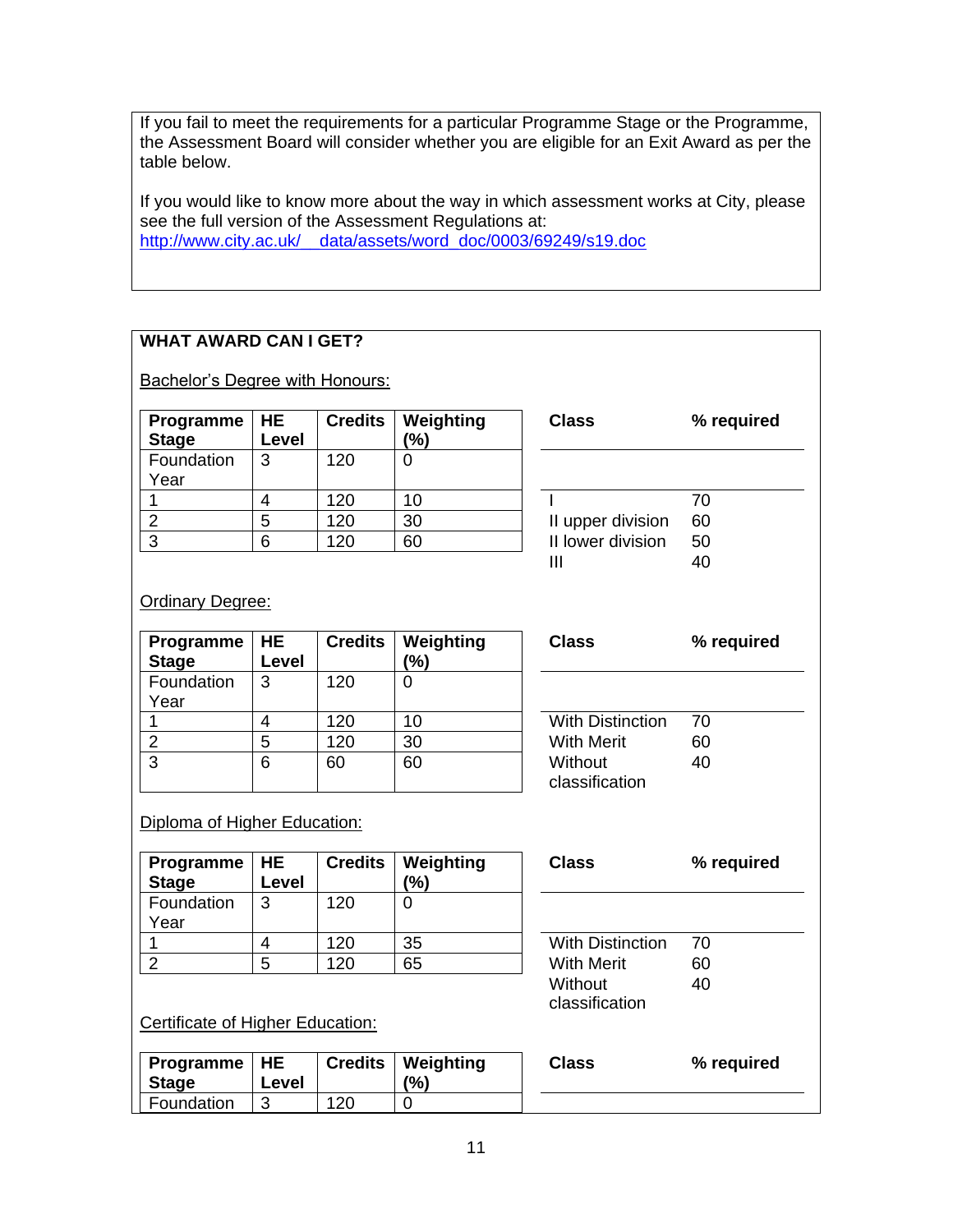If you fail to meet the requirements for a particular Programme Stage or the Programme, the Assessment Board will consider whether you are eligible for an Exit Award as per the table below.

If you would like to know more about the way in which assessment works at City, please see the full version of the Assessment Regulations at: [http://www.city.ac.uk/\\_\\_data/assets/word\\_doc/0003/69249/s19.doc](http://www.city.ac.uk/__data/assets/word_doc/0003/69249/s19.doc)

# **WHAT AWARD CAN I GET?**

**Bachelor's Degree with Honours:** 

| Programme $ HE$<br><b>Stage</b> | Level | <b>Credits</b> | Weighting<br>(%) | <b>Class</b>      | ℅  |
|---------------------------------|-------|----------------|------------------|-------------------|----|
| Foundation<br>Year              | 3     | 120            |                  |                   |    |
|                                 | 4     | 120            | 10               |                   | 70 |
| ⌒                               | 5     | 120            | 30               | II upper division | 60 |
| ົ                               | 6     | 120            | 60               | II lower division | 50 |

| <b>Class</b>      | % required |
|-------------------|------------|
|                   |            |
|                   | 70         |
| II upper division | 60         |
| II lower division | 50         |
|                   |            |

## **Ordinary Degree:**

| Programme    | <b>HE</b> | <b>Credits</b> | Weighting | <b>Class</b>            | ℅  |
|--------------|-----------|----------------|-----------|-------------------------|----|
| <b>Stage</b> | Level     |                | (%)       |                         |    |
| Foundation   | 3         | 120            |           |                         |    |
| Year         |           |                |           |                         |    |
|              | 4         | 120            | 10        | <b>With Distinction</b> | 70 |
|              | 5         | 120            | 30        | <b>With Merit</b>       | 60 |
| 3            | 6         | 60             | 60        | Without                 | 40 |
|              |           |                |           | classification          |    |

| % required |
|------------|
|            |
| 70         |
| 60         |
| 40         |
|            |

#### Diploma of Higher Education:

| <b>Programme</b>   $HE$<br><b>Stage</b> | Level | <b>Credits</b> | Weighting<br>(%) | <b>Class</b>            | ℅  |
|-----------------------------------------|-------|----------------|------------------|-------------------------|----|
| Foundation<br>Year                      | 3     | 120            |                  |                         |    |
|                                         | 4     | 120            | 35               | <b>With Distinction</b> | 70 |
|                                         | 5     | 120            | 65               | <b>With Merit</b>       | 60 |

| % required |  |  |
|------------|--|--|
|            |  |  |
| 70         |  |  |
| 60         |  |  |
| 40         |  |  |
|            |  |  |

Certificate of Higher Education:

| Programme   HE<br><b>Stage</b> | Level |     | Credits   Weighting<br>$\frac{10}{6}$ | Class | % required |
|--------------------------------|-------|-----|---------------------------------------|-------|------------|
| Foundation                     |       | 120 |                                       |       |            |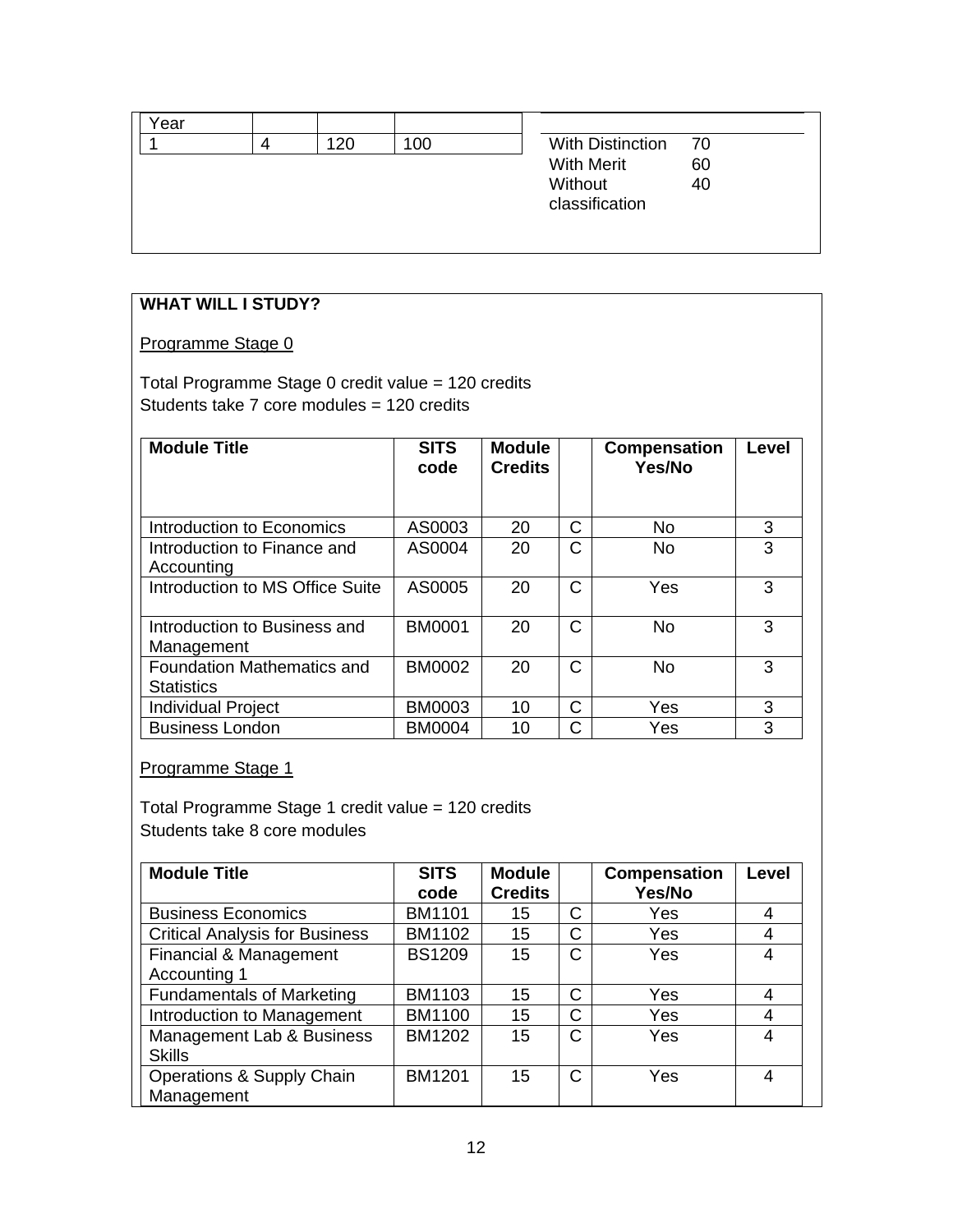| ′ear |     |     |                         |      |
|------|-----|-----|-------------------------|------|
|      | 120 | 100 | <b>With Distinction</b> | - 70 |
|      |     |     | <b>With Merit</b>       | 60   |
|      |     |     | Without                 | 40   |
|      |     |     | classification          |      |
|      |     |     |                         |      |
|      |     |     |                         |      |

# **WHAT WILL I STUDY?**

#### Programme Stage 0

Total Programme Stage 0 credit value = 120 credits Students take 7 core modules = 120 credits

| <b>Module Title</b>                                    | <b>SITS</b><br>code | <b>Module</b><br><b>Credits</b> |   | <b>Compensation</b><br>Yes/No | Level |
|--------------------------------------------------------|---------------------|---------------------------------|---|-------------------------------|-------|
| Introduction to Economics                              | AS0003              | 20                              | C | No                            | 3     |
| Introduction to Finance and<br>Accounting              | AS0004              | 20                              | C | <b>No</b>                     | 3     |
| Introduction to MS Office Suite                        | AS0005              | 20                              | C | Yes                           | 3     |
| Introduction to Business and<br>Management             | <b>BM0001</b>       | 20                              | C | No                            | 3     |
| <b>Foundation Mathematics and</b><br><b>Statistics</b> | <b>BM0002</b>       | 20                              | C | No                            | 3     |
| <b>Individual Project</b>                              | <b>BM0003</b>       | 10                              | C | Yes                           | 3     |
| <b>Business London</b>                                 | <b>BM0004</b>       | 10                              | C | Yes                           | 3     |

Programme Stage 1

Total Programme Stage 1 credit value = 120 credits Students take 8 core modules

| <b>Module Title</b>                   | <b>SITS</b>   | <b>Module</b>  |   | <b>Compensation</b> | Level |
|---------------------------------------|---------------|----------------|---|---------------------|-------|
|                                       | code          | <b>Credits</b> |   | Yes/No              |       |
| <b>Business Economics</b>             | <b>BM1101</b> | 15             | C | Yes                 | 4     |
| <b>Critical Analysis for Business</b> | <b>BM1102</b> | 15             | C | Yes                 | 4     |
| Financial & Management                | <b>BS1209</b> | 15             | C | Yes                 | 4     |
| Accounting 1                          |               |                |   |                     |       |
| <b>Fundamentals of Marketing</b>      | BM1103        | 15             | C | Yes                 | 4     |
| Introduction to Management            | <b>BM1100</b> | 15             | C | Yes                 | 4     |
| Management Lab & Business             | <b>BM1202</b> | 15             | C | Yes                 | 4     |
| <b>Skills</b>                         |               |                |   |                     |       |
| Operations & Supply Chain             | <b>BM1201</b> | 15             | C | Yes                 | 4     |
| Management                            |               |                |   |                     |       |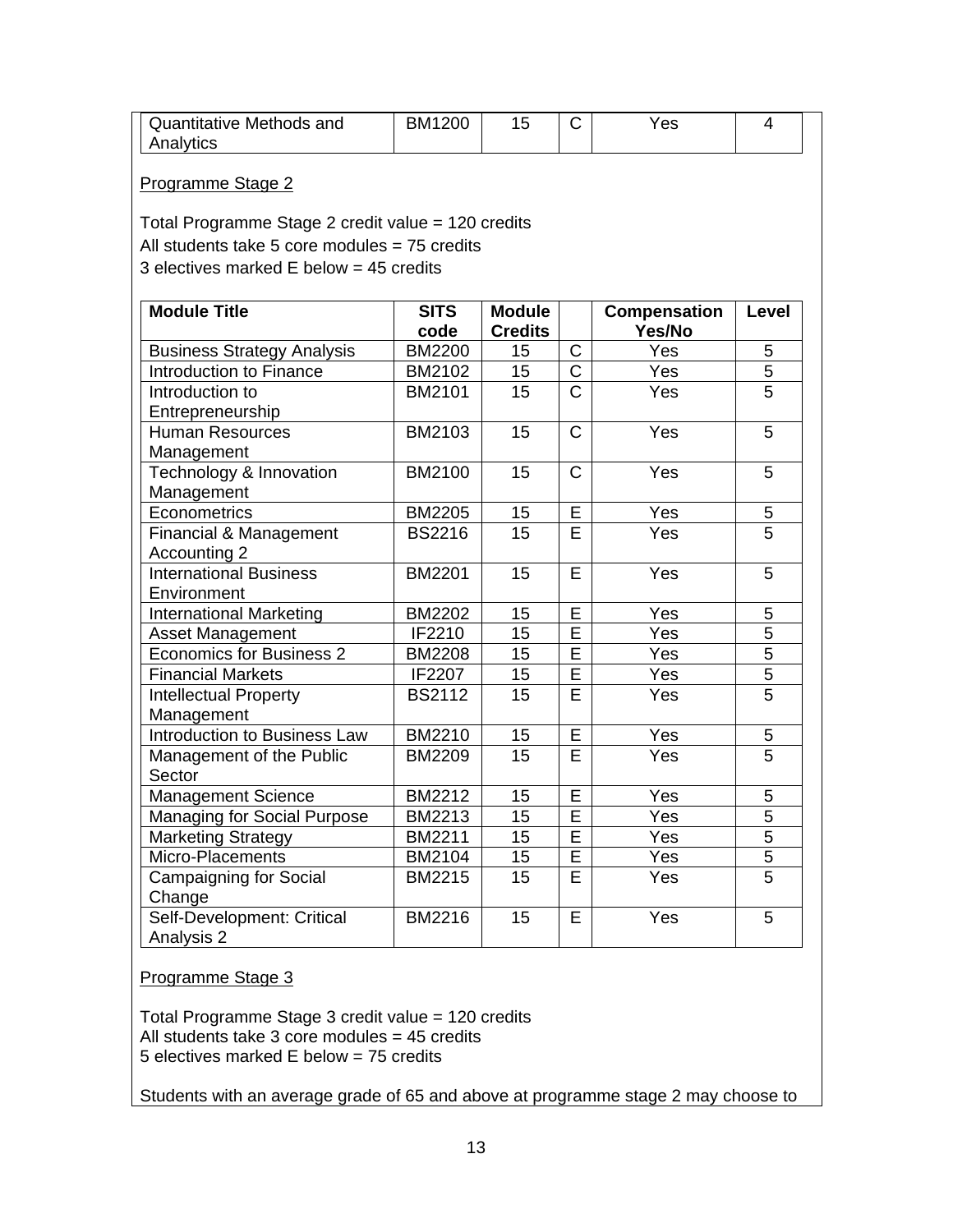| Quantitative Methods and | BM <sub>1</sub><br>200 |  | 'es |  |
|--------------------------|------------------------|--|-----|--|
| Analytics                |                        |  |     |  |

#### Programme Stage 2

Total Programme Stage 2 credit value = 120 credits All students take 5 core modules = 75 credits 3 electives marked E below = 45 credits

| <b>Module Title</b>                 | <b>SITS</b><br>code | <b>Module</b><br><b>Credits</b> |                         | <b>Compensation</b><br>Yes/No | Level          |
|-------------------------------------|---------------------|---------------------------------|-------------------------|-------------------------------|----------------|
| <b>Business Strategy Analysis</b>   | <b>BM2200</b>       | 15                              | C                       | Yes                           | 5              |
| Introduction to Finance             | BM2102              | 15                              | $\overline{\mathrm{C}}$ | Yes                           | 5              |
| Introduction to                     | BM2101              | 15                              | $\overline{C}$          | Yes                           | 5              |
| Entrepreneurship                    |                     |                                 |                         |                               |                |
| <b>Human Resources</b>              | BM2103              | 15                              | $\mathsf{C}$            | Yes                           | 5              |
| Management                          |                     |                                 |                         |                               |                |
| Technology & Innovation             | BM2100              | 15                              | $\mathsf C$             | Yes                           | 5              |
| Management                          |                     |                                 |                         |                               |                |
| Econometrics                        | <b>BM2205</b>       | 15                              | Ē                       | Yes                           | 5              |
| Financial & Management              | <b>BS2216</b>       | 15                              | E                       | Yes                           | $\overline{5}$ |
| Accounting 2                        |                     |                                 |                         |                               |                |
| <b>International Business</b>       | <b>BM2201</b>       | 15                              | E                       | Yes                           | 5              |
| Environment                         |                     |                                 |                         |                               |                |
| <b>International Marketing</b>      | <b>BM2202</b>       | 15                              | E                       | Yes                           | 5              |
| Asset Management                    | IF2210              | 15                              | $\overline{\mathsf{E}}$ | Yes                           | $\overline{5}$ |
| <b>Economics for Business 2</b>     | <b>BM2208</b>       | 15                              | Ē                       | Yes                           | $\overline{5}$ |
| <b>Financial Markets</b>            | IF2207              | 15                              | E                       | Yes                           | $\overline{5}$ |
| <b>Intellectual Property</b>        | <b>BS2112</b>       | 15                              | $\overline{\mathsf{E}}$ | Yes                           | $\overline{5}$ |
| Management                          |                     |                                 |                         |                               |                |
| <b>Introduction to Business Law</b> | <b>BM2210</b>       | 15                              | E                       | Yes                           | 5              |
| Management of the Public            | <b>BM2209</b>       | 15                              | E                       | Yes                           | 5              |
| Sector                              |                     |                                 |                         |                               |                |
| <b>Management Science</b>           | <b>BM2212</b>       | 15                              | E                       | Yes                           | 5              |
| Managing for Social Purpose         | <b>BM2213</b>       | 15                              | E                       | Yes                           | 5              |
| Marketing Strategy                  | BM2211              | 15                              | E                       | Yes                           | $\overline{5}$ |
| Micro-Placements                    | BM2104              | 15                              | E                       | Yes                           | $\overline{5}$ |
| <b>Campaigning for Social</b>       | <b>BM2215</b>       | 15                              | Ē                       | Yes                           | 5              |
| Change                              |                     |                                 |                         |                               |                |
| Self-Development: Critical          | <b>BM2216</b>       | 15                              | E                       | Yes                           | 5              |
| Analysis 2                          |                     |                                 |                         |                               |                |

#### Programme Stage 3

Total Programme Stage 3 credit value = 120 credits All students take 3 core modules = 45 credits 5 electives marked E below = 75 credits

Students with an average grade of 65 and above at programme stage 2 may choose to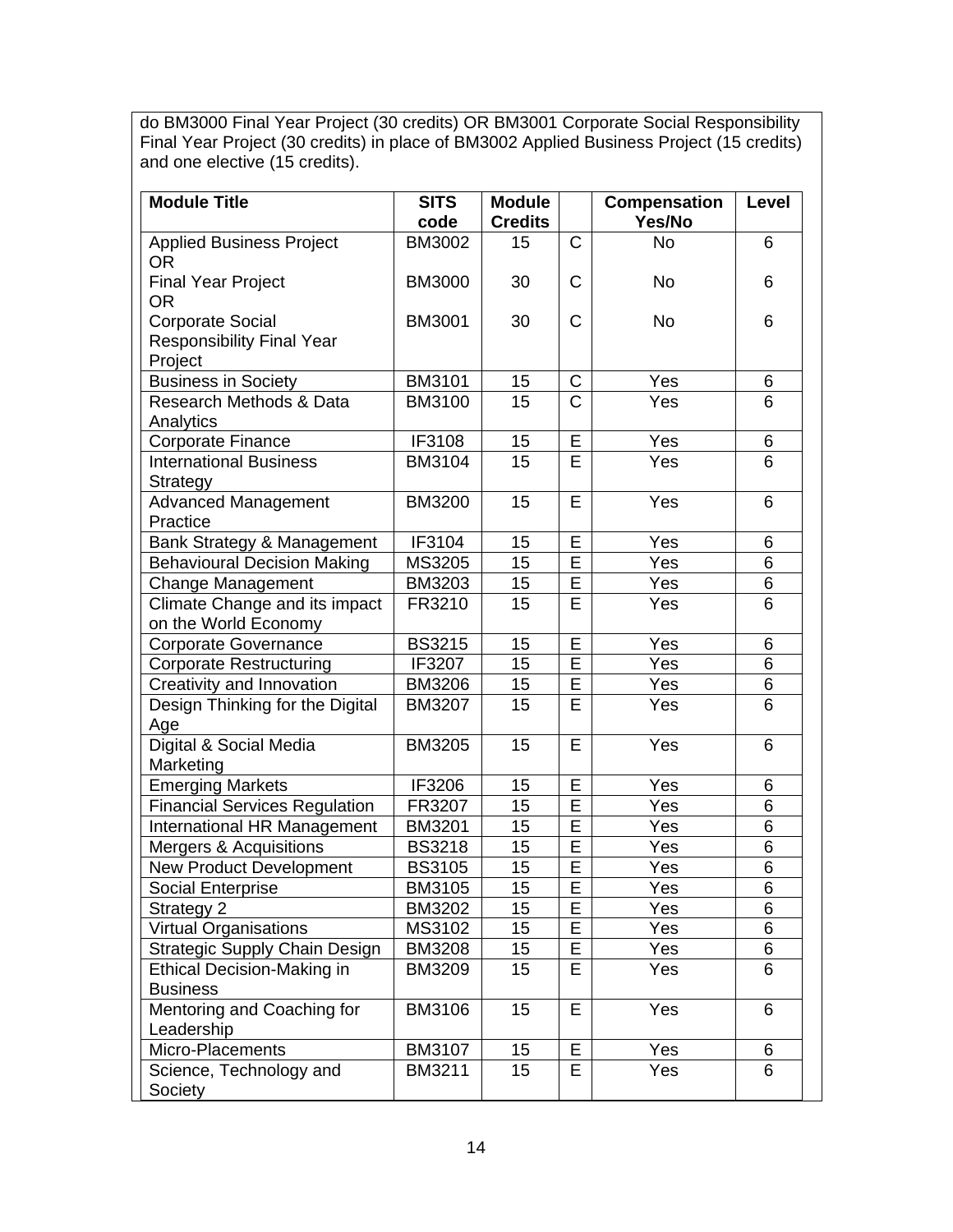do BM3000 Final Year Project (30 credits) OR BM3001 Corporate Social Responsibility Final Year Project (30 credits) in place of BM3002 Applied Business Project (15 credits) and one elective (15 credits).

| <b>Module Title</b>                          | <b>SITS</b>   | <b>Module</b>   |                       | <b>Compensation</b> | Level          |
|----------------------------------------------|---------------|-----------------|-----------------------|---------------------|----------------|
|                                              | code          | <b>Credits</b>  |                       | Yes/No              |                |
| <b>Applied Business Project</b><br><b>OR</b> | <b>BM3002</b> | 15              | $\mathsf{C}$          | No                  | 6              |
| <b>Final Year Project</b><br><b>OR</b>       | <b>BM3000</b> | 30              | $\mathsf{C}$          | <b>No</b>           | 6              |
| <b>Corporate Social</b>                      | <b>BM3001</b> | 30              | $\mathsf C$           | <b>No</b>           | 6              |
| <b>Responsibility Final Year</b>             |               |                 |                       |                     |                |
| Project                                      |               |                 |                       |                     |                |
| <b>Business in Society</b>                   | <b>BM3101</b> | 15              | C                     | Yes                 | 6              |
| Research Methods & Data                      | <b>BM3100</b> | 15              | $\overline{\text{C}}$ | Yes                 | 6              |
| Analytics                                    |               |                 |                       |                     |                |
| Corporate Finance                            | IF3108        | 15              | E                     | Yes                 | 6              |
| <b>International Business</b><br>Strategy    | <b>BM3104</b> | 15              | E                     | Yes                 | 6              |
| <b>Advanced Management</b>                   | <b>BM3200</b> | 15              | E                     | Yes                 | 6              |
| Practice                                     |               |                 |                       |                     |                |
| Bank Strategy & Management                   | IF3104        | 15              | E                     | Yes                 | 6              |
| <b>Behavioural Decision Making</b>           | MS3205        | 15              | E                     | Yes                 | 6              |
| <b>Change Management</b>                     | <b>BM3203</b> | 15              | E                     | Yes                 | 6              |
| Climate Change and its impact                | FR3210        | 15              | E                     | Yes                 | 6              |
| on the World Economy                         |               |                 |                       |                     |                |
| <b>Corporate Governance</b>                  | <b>BS3215</b> | 15              | E                     | Yes                 | 6              |
| <b>Corporate Restructuring</b>               | IF3207        | 15              | E                     | Yes                 | 6              |
| Creativity and Innovation                    | <b>BM3206</b> | 15              | E                     | Yes                 | 6              |
| Design Thinking for the Digital<br>Age       | <b>BM3207</b> | 15              | E                     | Yes                 | 6              |
| Digital & Social Media                       | <b>BM3205</b> | 15              | E                     | Yes                 | 6              |
| Marketing                                    |               |                 |                       |                     |                |
| <b>Emerging Markets</b>                      | IF3206        | 15              | E                     | Yes                 | 6              |
| <b>Financial Services Regulation</b>         | FR3207        | 15              | E                     | Yes                 | 6              |
| International HR Management                  | <b>BM3201</b> | 15              | E                     | Yes                 | 6              |
| Mergers & Acquisitions                       | <b>BS3218</b> | 15              | E                     | Yes                 | 6              |
| <b>New Product Development</b>               | <b>BS3105</b> | 15              | E                     | Yes                 | 6              |
| <b>Social Enterprise</b>                     | BM3105        | $\overline{15}$ | $\overline{E}$        | Yes                 | $\overline{6}$ |
| Strategy 2                                   | <b>BM3202</b> | 15              | Е                     | Yes                 | 6              |
| <b>Virtual Organisations</b>                 | MS3102        | 15              | E                     | Yes                 | 6              |
| <b>Strategic Supply Chain Design</b>         | <b>BM3208</b> | 15              | Ε                     | Yes                 | 6              |
| <b>Ethical Decision-Making in</b>            | <b>BM3209</b> | 15              | E                     | Yes                 | 6              |
| <b>Business</b>                              |               |                 |                       |                     |                |
| Mentoring and Coaching for                   | BM3106        | 15              | Е                     | Yes                 | 6              |
| Leadership                                   |               |                 |                       |                     |                |
| Micro-Placements                             | <b>BM3107</b> | 15              | E                     | Yes                 | 6              |
| Science, Technology and                      | BM3211        | 15              | Е                     | Yes                 | 6              |
| Society                                      |               |                 |                       |                     |                |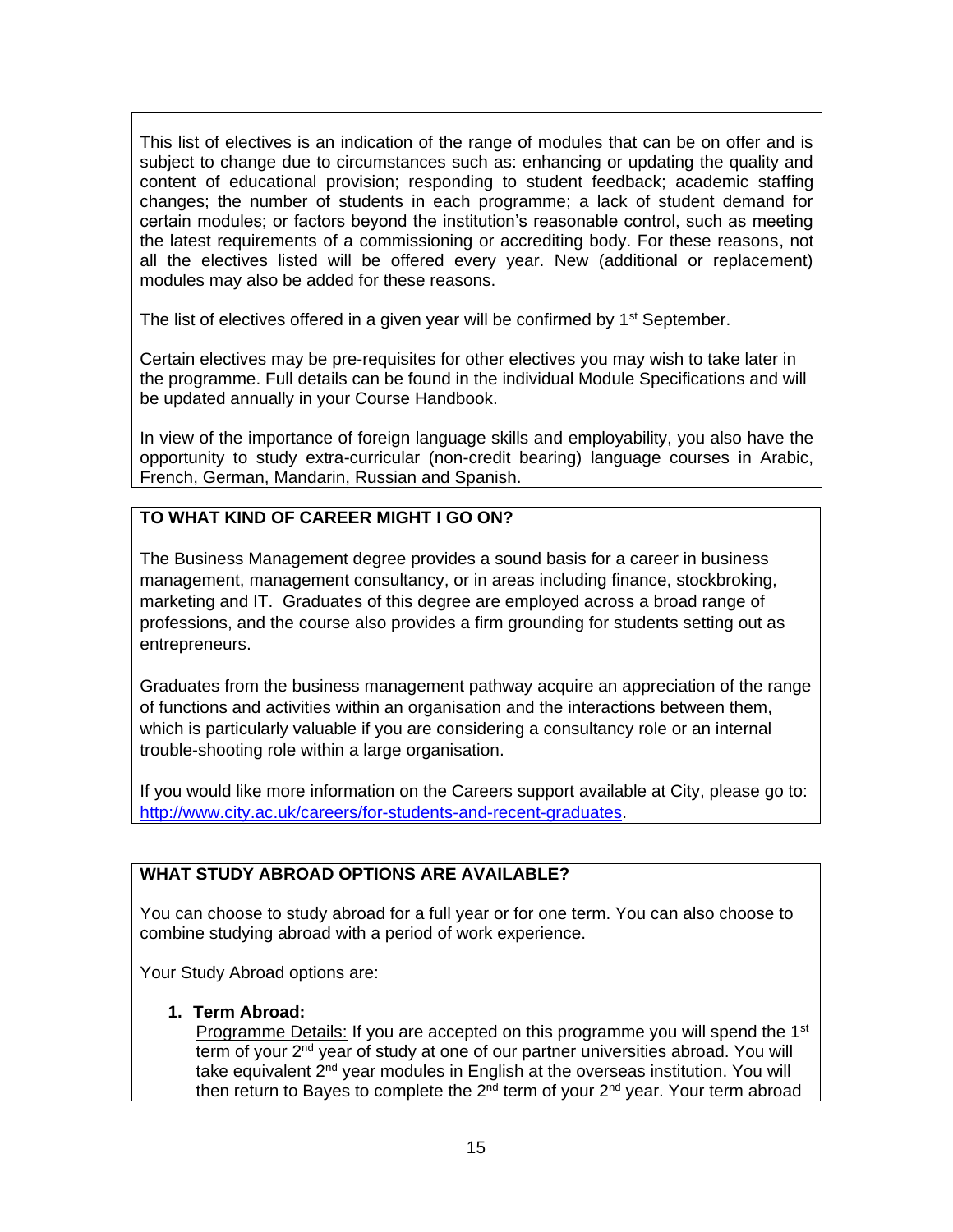This list of electives is an indication of the range of modules that can be on offer and is subject to change due to circumstances such as: enhancing or updating the quality and content of educational provision; responding to student feedback; academic staffing changes; the number of students in each programme; a lack of student demand for certain modules; or factors beyond the institution's reasonable control, such as meeting the latest requirements of a commissioning or accrediting body. For these reasons, not all the electives listed will be offered every year. New (additional or replacement) modules may also be added for these reasons.

The list of electives offered in a given year will be confirmed by  $1<sup>st</sup>$  September.

Certain electives may be pre-requisites for other electives you may wish to take later in the programme. Full details can be found in the individual Module Specifications and will be updated annually in your Course Handbook.

In view of the importance of foreign language skills and employability, you also have the opportunity to study extra-curricular (non-credit bearing) language courses in Arabic, French, German, Mandarin, Russian and Spanish.

# **TO WHAT KIND OF CAREER MIGHT I GO ON?**

The Business Management degree provides a sound basis for a career in business management, management consultancy, or in areas including finance, stockbroking, marketing and IT. Graduates of this degree are employed across a broad range of professions, and the course also provides a firm grounding for students setting out as entrepreneurs.

Graduates from the business management pathway acquire an appreciation of the range of functions and activities within an organisation and the interactions between them, which is particularly valuable if you are considering a consultancy role or an internal trouble-shooting role within a large organisation.

If you would like more information on the Careers support available at City, please go to: [http://www.city.ac.uk/careers/for-students-and-recent-graduates.](http://www.city.ac.uk/careers/for-students-and-recent-graduates)

## **WHAT STUDY ABROAD OPTIONS ARE AVAILABLE?**

You can choose to study abroad for a full year or for one term. You can also choose to combine studying abroad with a period of work experience.

Your Study Abroad options are:

#### **1. Term Abroad:**

Programme Details: If you are accepted on this programme you will spend the 1<sup>st</sup> term of your 2<sup>nd</sup> year of study at one of our partner universities abroad. You will take equivalent 2<sup>nd</sup> year modules in English at the overseas institution. You will then return to Bayes to complete the  $2<sup>nd</sup>$  term of your  $2<sup>nd</sup>$  year. Your term abroad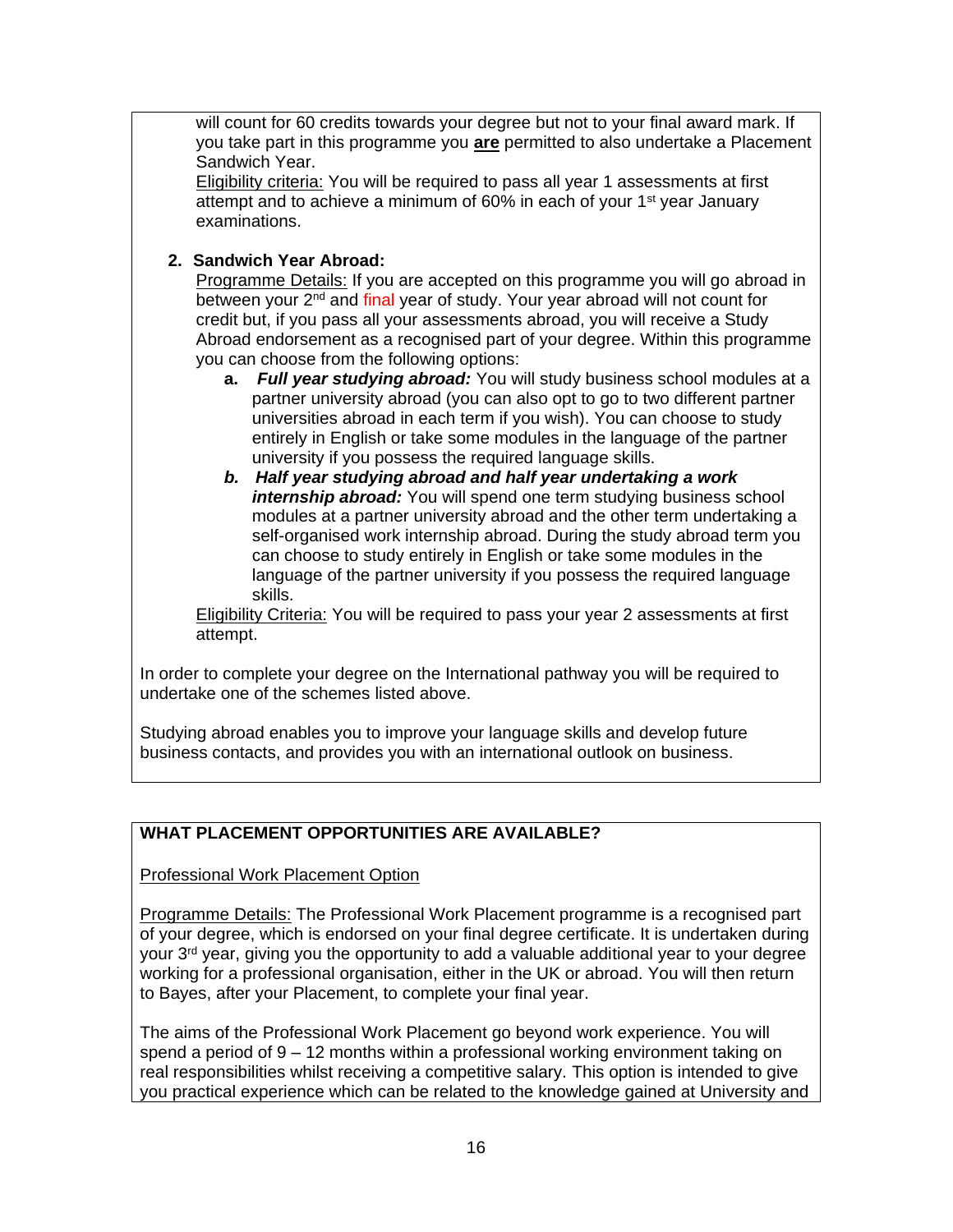will count for 60 credits towards your degree but not to your final award mark. If you take part in this programme you **are** permitted to also undertake a Placement Sandwich Year.

Eligibility criteria: You will be required to pass all year 1 assessments at first attempt and to achieve a minimum of 60% in each of your 1<sup>st</sup> year January examinations.

## **2. Sandwich Year Abroad:**

Programme Details: If you are accepted on this programme you will go abroad in between your 2<sup>nd</sup> and final year of study. Your year abroad will not count for credit but, if you pass all your assessments abroad, you will receive a Study Abroad endorsement as a recognised part of your degree. Within this programme you can choose from the following options:

- **a.** *Full year studying abroad:* You will study business school modules at a partner university abroad (you can also opt to go to two different partner universities abroad in each term if you wish). You can choose to study entirely in English or take some modules in the language of the partner university if you possess the required language skills.
- *b. Half year studying abroad and half year undertaking a work internship abroad:* You will spend one term studying business school modules at a partner university abroad and the other term undertaking a self-organised work internship abroad. During the study abroad term you can choose to study entirely in English or take some modules in the language of the partner university if you possess the required language skills.

**Eligibility Criteria: You will be required to pass your year 2 assessments at first** attempt.

In order to complete your degree on the International pathway you will be required to undertake one of the schemes listed above.

Studying abroad enables you to improve your language skills and develop future business contacts, and provides you with an international outlook on business.

## **WHAT PLACEMENT OPPORTUNITIES ARE AVAILABLE?**

Professional Work Placement Option

Programme Details: The Professional Work Placement programme is a recognised part of your degree, which is endorsed on your final degree certificate. It is undertaken during your 3<sup>rd</sup> year, giving you the opportunity to add a valuable additional year to your degree working for a professional organisation, either in the UK or abroad. You will then return to Bayes, after your Placement, to complete your final year.

The aims of the Professional Work Placement go beyond work experience. You will spend a period of 9 – 12 months within a professional working environment taking on real responsibilities whilst receiving a competitive salary. This option is intended to give you practical experience which can be related to the knowledge gained at University and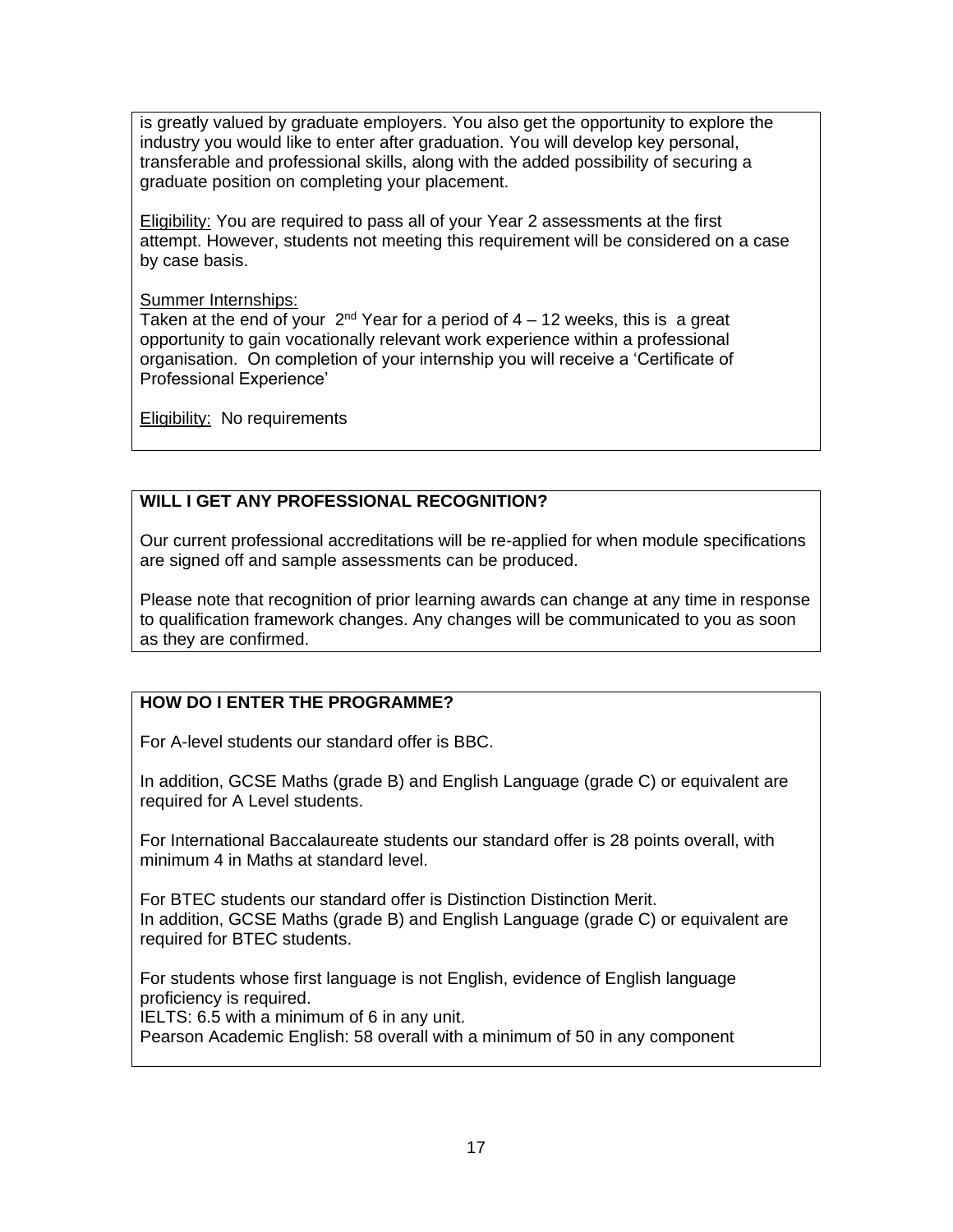is greatly valued by graduate employers. You also get the opportunity to explore the industry you would like to enter after graduation. You will develop key personal, transferable and professional skills, along with the added possibility of securing a graduate position on completing your placement.

**Eligibility:** You are required to pass all of your Year 2 assessments at the first attempt. However, students not meeting this requirement will be considered on a case by case basis.

#### Summer Internships:

Taken at the end of your  $2<sup>nd</sup>$  Year for a period of 4 – 12 weeks, this is a great opportunity to gain vocationally relevant work experience within a professional organisation. On completion of your internship you will receive a 'Certificate of Professional Experience'

Eligibility: No requirements

# **WILL I GET ANY PROFESSIONAL RECOGNITION?**

Our current professional accreditations will be re-applied for when module specifications are signed off and sample assessments can be produced.

Please note that recognition of prior learning awards can change at any time in response to qualification framework changes. Any changes will be communicated to you as soon as they are confirmed.

## **HOW DO I ENTER THE PROGRAMME?**

For A-level students our standard offer is BBC.

In addition, GCSE Maths (grade B) and English Language (grade C) or equivalent are required for A Level students.

For International Baccalaureate students our standard offer is 28 points overall, with minimum 4 in Maths at standard level.

For BTEC students our standard offer is Distinction Distinction Merit. In addition, GCSE Maths (grade B) and English Language (grade C) or equivalent are required for BTEC students.

For students whose first language is not English, evidence of English language proficiency is required.

IELTS: 6.5 with a minimum of 6 in any unit.

Pearson Academic English: 58 overall with a minimum of 50 in any component